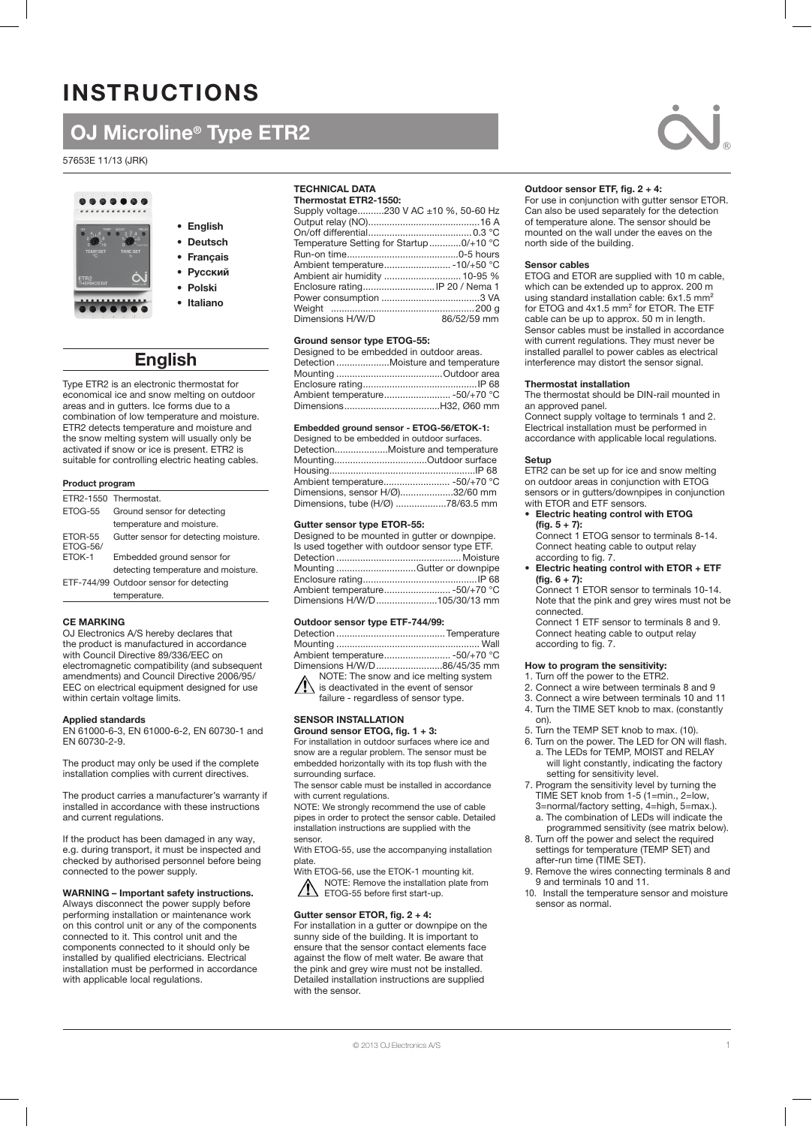# **INSTRUCTIONS**

# OJ Microline® Type ETR2

57653E 11/13 (JRK)



- English • Deutsch • Français
- 
- 
- Polski
- Italiano

## English

Type ETR2 is an electronic thermostat for economical ice and snow melting on outdoor areas and in gutters. Ice forms due to a combination of low temperature and moisture. ETR2 detects temperature and moisture and the snow melting system will usually only be activated if snow or ice is present. ETR2 is suitable for controlling electric heating cables.

### Product program

|                            | ETR2-1550 Thermostat.                   |  |
|----------------------------|-----------------------------------------|--|
| <b>FTOG-55</b>             | Ground sensor for detecting             |  |
|                            | temperature and moisture.               |  |
| ETOR-55<br><b>ETOG-56/</b> | Gutter sensor for detecting moisture.   |  |
| ETOK-1                     | Embedded ground sensor for              |  |
|                            | detecting temperature and moisture.     |  |
|                            | ETF-744/99 Outdoor sensor for detecting |  |
|                            | temperature.                            |  |

## CE MARKING

OJ Electronics A/S hereby declares that the product is manufactured in accordance with Council Directive 89/336/EEC on electromagnetic compatibility (and subsequent amendments) and Council Directive 2006/95/ EEC on electrical equipment designed for use within certain voltage limits.

#### Applied standards

EN 61000-6-3, EN 61000-6-2, EN 60730-1 and EN 60730-2-9.

The product may only be used if the complete installation complies with current directives.

The product carries a manufacturer's warranty if installed in accordance with these instructions and current regulations.

If the product has been damaged in any way, e.g. during transport, it must be inspected and checked by authorised personnel before being connected to the power supply.

## WARNING – Important safety instructions.

Always disconnect the power supply before performing installation or maintenance work on this control unit or any of the components connected to it. This control unit and the components connected to it should only be installed by qualified electricians. Electrical installation must be performed in accordance with applicable local regulations.

## TECHNICAL DATA

| Supply voltage230 V AC ±10 %, 50-60 Hz  |
|-----------------------------------------|
|                                         |
|                                         |
| Temperature Setting for Startup0/+10 °C |
|                                         |
|                                         |
| Ambient air humidity  10-95 %           |
| Enclosure rating IP 20 / Nema 1         |
|                                         |
|                                         |
| 86/52/59 mm                             |
|                                         |

#### Ground sensor type ETOG-55:

| Designed to be embedded in outdoor areas. |
|-------------------------------------------|
| Detection Moisture and temperature        |
|                                           |
|                                           |
|                                           |
|                                           |
|                                           |

#### Embedded ground sensor - ETOG-56/ETOK-1:

| Designed to be embedded in outdoor surfaces. |
|----------------------------------------------|
|                                              |
|                                              |
|                                              |
|                                              |
| Dimensions, sensor H/Ø)32/60 mm              |
| Dimensions, tube (H/Ø) 78/63.5 mm            |
|                                              |

#### Gutter sensor type ETOR-55:

| Designed to be mounted in gutter or downpipe.  |  |
|------------------------------------------------|--|
| Is used together with outdoor sensor type ETF. |  |
|                                                |  |
| Mounting Gutter or downpipe                    |  |
|                                                |  |
| Ambient temperature -50/+70 °C                 |  |
| Dimensions H/W/D105/30/13 mm                   |  |
|                                                |  |

#### Outdoor sensor type ETF-744/99:

| Dimensions H/W/D86/45/35 mm                                 |  |
|-------------------------------------------------------------|--|
| NOTE: The snow and ice melting system<br>$\mathbf{\Lambda}$ |  |

is deactivated in the event of sensor failure - regardless of sensor type.

## SENSOR INSTALLATION

Ground sensor ETOG, fig. 1 + 3: For installation in outdoor surfaces where ice and snow are a regular problem. The sensor must be embedded horizontally with its top flush with the surrounding surface.

The sensor cable must be installed in accordance with current regulations.

NOTE: We strongly recommend the use of cable pipes in order to protect the sensor cable. Detailed installation instructions are supplied with the sensor.

With ETOG-55, use the accompanying installation plate.

With ETOG-56, use the ETOK-1 mounting kit. NOTE: Remove the installation plate from ETOG-55 before first start-up.

## Gutter sensor ETOR, fig. 2 + 4:

For installation in a gutter or downpipe on the sunny side of the building. It is important to ensure that the sensor contact elements face against the flow of melt water. Be aware that the pink and grey wire must not be installed. Detailed installation instructions are supplied with the sensor.



#### Outdoor sensor ETF, fig. 2 + 4:

For use in conjunction with gutter sensor ETOR. Can also be used separately for the detection of temperature alone. The sensor should be mounted on the wall under the eaves on the north side of the building.

#### Sensor cables

ETOG and ETOR are supplied with 10 m cable, which can be extended up to approx. 200 m using standard installation cable: 6x1.5 mm<sup>2</sup> for ETOG and 4x1.5 mm² for ETOR. The ETF cable can be up to approx. 50 m in length. Sensor cables must be installed in accordance with current regulations. They must never be installed parallel to power cables as electrical interference may distort the sensor signal.

#### Thermostat installation

The thermostat should be DIN-rail mounted in an approved panel.

Connect supply voltage to terminals 1 and 2. Electrical installation must be performed in accordance with applicable local regulations.

#### Setup

ETR2 can be set up for ice and snow melting on outdoor areas in conjunction with ETOG sensors or in gutters/downpipes in conjunction with ETOR and ETF sensors.

• Electric heating control with ETOG  $(fig. 5 + 7):$ 

Connect 1 ETOG sensor to terminals 8-14. Connect heating cable to output relay according to fig. 7.

• Electric heating control with ETOR + ETF  $(fig. 6 + 7):$ 

Connect 1 ETOR sensor to terminals 10-14. Note that the pink and grey wires must not be connected.

Connect 1 ETF sensor to terminals 8 and 9. Connect heating cable to output relay according to fig. 7.

## How to program the sensitivity:

- 1. Turn off the power to the ETR2.
- 2. Connect a wire between terminals 8 and 9
- 3. Connect a wire between terminals 10 and 11 4. Turn the TIME SET knob to max. (constantly on).
- 5. Turn the TEMP SET knob to max. (10).
- 6. Turn on the power. The LED for ON will flash. a. The LEDs for TEMP, MOIST and RELAY will light constantly, indicating the factory setting for sensitivity level.
- 7. Program the sensitivity level by turning the TIME SET knob from 1-5 (1=min., 2=low, 3=normal/factory setting, 4=high, 5=max.). a. The combination of LEDs will indicate the
- programmed sensitivity (see matrix below). 8. Turn off the power and select the required settings for temperature (TEMP SET) and after-run time (TIME SET).
- 9. Remove the wires connecting terminals 8 and 9 and terminals 10 and 11.
- 10. Install the temperature sensor and moisture sensor as normal.

• Русский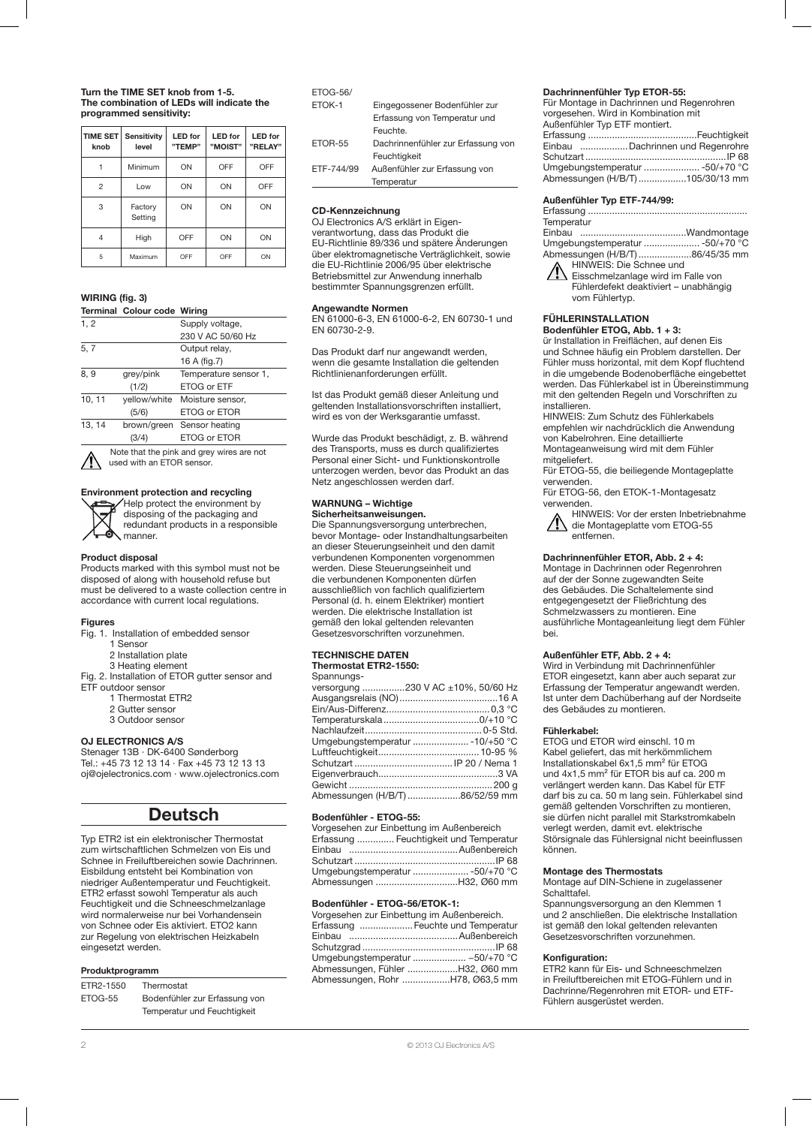#### Turn the TIME SET knob from 1-5. The combination of LEDs will indicate the programmed sensitivity:

| <b>TIME SET</b><br>knob | <b>Sensitivity</b><br>level | <b>LED</b> for<br>"TEMP" | <b>LED</b> for<br>"MOIST" | <b>LED</b> for<br>"RELAY" |
|-------------------------|-----------------------------|--------------------------|---------------------------|---------------------------|
|                         | Minimum                     | ON                       | OFF                       | OFF                       |
| 2                       | Low                         | ON                       | ON                        | OFF                       |
| 3                       | Factory<br>Setting          | ON                       | ON                        | ON                        |
| $\overline{4}$          | High                        | OFF                      | ON                        | ON                        |
| 5                       | Maximum                     | OFF                      | OFF                       | ON                        |

## WIRING (fig. 3)

#### Terminal Colour code Wiring

| 1, 2   |           | Supply voltage,               |
|--------|-----------|-------------------------------|
|        |           | 230 V AC 50/60 Hz             |
| 5, 7   |           | Output relay,                 |
|        |           | 16 A (fig. 7)                 |
| 8, 9   | grey/pink | Temperature sensor 1,         |
|        | (1/2)     | ETOG or ETF                   |
| 10, 11 |           | yellow/white Moisture sensor, |
|        | (5/6)     | ETOG or ETOR                  |
| 13, 14 |           | brown/green Sensor heating    |
|        | (3/4)     | ETOG or ETOR                  |
|        |           |                               |

Note that the pink and grey wires are not used with an ETOR sensor.

#### Environment protection and recycling Help protect the environment by



## Product disposal

Products marked with this symbol must not be disposed of along with household refuse but must be delivered to a waste collection centre in accordance with current local regulations.

#### Figures

- Fig. 1. Installation of embedded sensor
	- 1 Sensor
		- 2 Installation plate
- 3 Heating element Fig. 2. Installation of ETOR gutter sensor and
- ETF outdoor sensor
	- 1 Thermostat ETR2
	- 2 Gutter sensor
	- 3 Outdoor sensor

## OJ ELECTRONICS A/S

Stenager 13B · DK-6400 Sønderborg Tel.: +45 73 12 13 14 · Fax +45 73 12 13 13 oj@ojelectronics.com · www.ojelectronics.com

## Deutsch

Typ ETR2 ist ein elektronischer Thermostat zum wirtschaftlichen Schmelzen von Eis und Schnee in Freiluftbereichen sowie Dachrinnen. Eisbildung entsteht bei Kombination von niedriger Außentemperatur und Feuchtigkeit. ETR2 erfasst sowohl Temperatur als auch Feuchtigkeit und die Schneeschmelzanlage wird normalerweise nur bei Vorhandensein von Schnee oder Eis aktiviert. ETO2 kann zur Regelung von elektrischen Heizkabeln eingesetzt werden.

#### Produktprogramm

| ETR2-1550 | Thermostat                    |
|-----------|-------------------------------|
| ETOG-55   | Bodenfühler zur Erfassung von |
|           | Temperatur und Feuchtigkeit   |

| <b>ETOG-56/</b> |                                    |
|-----------------|------------------------------------|
| ETOK-1          | Eingegossener Bodenfühler zur      |
|                 | Erfassung von Temperatur und       |
|                 | Feuchte.                           |
| ETOR-55         | Dachrinnenfühler zur Erfassung von |
|                 | <b>Equabriakait</b>                |

|            | Feuchtigkeit                  |  |
|------------|-------------------------------|--|
| ETF-744/99 | Außenfühler zur Erfassung von |  |
|            | Temperatur                    |  |
|            |                               |  |

#### CD-Kennzeichnung

OJ Electronics A/S erklärt in Eigenverantwortung, dass das Produkt die EU-Richtlinie 89/336 und spätere Änderungen über elektromagnetische Verträglichkeit, sowie die EU-Richtlinie 2006/95 über elektrische Betriebsmittel zur Anwendung innerhalb bestimmter Spannungsgrenzen erfüllt.

#### Angewandte Normen

EN 61000-6-3, EN 61000-6-2, EN 60730-1 und EN 60730-2-9.

Das Produkt darf nur angewandt werden, wenn die gesamte Installation die geltenden Richtlinienanforderungen erfüllt.

Ist das Produkt gemäß dieser Anleitung und geltenden Installationsvorschriften installiert, wird es von der Werksgarantie umfasst.

Wurde das Produkt beschädigt, z. B. während des Transports, muss es durch qualifiziertes Personal einer Sicht- und Funktionskontrolle unterzogen werden, bevor das Produkt an das Netz angeschlossen werden darf.

## WARNUNG – Wichtige

## Sicherheitsanweisungen.

Die Spannungsversorgung unterbrechen, bevor Montage- oder Instandhaltungsarbeiten an dieser Steuerungseinheit und den damit verbundenen Komponenten vorgenommen werden. Diese Steuerungseinheit und die verbundenen Komponenten dürfen ausschließlich von fachlich qualifiziertem Personal (d. h. einem Elektriker) montiert werden. Die elektrische Installation ist gemäß den lokal geltenden relevanten Gesetzesvorschriften vorzunehmen.

## TECHNISCHE DATEN

## Thermostat ETR2-1550:

Spannungs-

| versorgung 230 V AC ±10%, 50/60 Hz |
|------------------------------------|
|                                    |
|                                    |
|                                    |
|                                    |
| Umgebungstemperatur  -10/+50 °C    |
|                                    |
|                                    |
|                                    |
|                                    |
| Abmessungen (H/B/T) 86/52/59 mm    |
|                                    |

#### Bodenfühler - ETOG-55:

| Vorgesehen zur Einbettung im Außenbereich |
|-------------------------------------------|
| Erfassung  Feuchtigkeit und Temperatur    |
|                                           |
|                                           |
| Umgebungstemperatur  -50/+70 °C           |
| Abmessungen H32, Ø60 mm                   |

#### Bodenfühler - ETOG-56/ETOK-1:

| Vorgesehen zur Einbettung im Außenbereich. |                                   |
|--------------------------------------------|-----------------------------------|
|                                            | Erfassung  Feuchte und Temperatur |
|                                            |                                   |
|                                            |                                   |
|                                            | Umgebungstemperatur  -50/+70 °C   |
|                                            | Abmessungen, Fühler H32, Ø60 mm   |
|                                            | Abmessungen, Rohr H78, Ø63,5 mm   |

#### Dachrinnenfühler Typ ETOR-55:

| Für Montage in Dachrinnen und Regenrohren |  |
|-------------------------------------------|--|
| vorgesehen. Wird in Kombination mit       |  |
| Außenfühler Typ ETF montiert.             |  |
|                                           |  |
| Einbau Dachrinnen und Regenrohre          |  |
|                                           |  |
| Umgebungstemperatur  -50/+70 °C           |  |
| Abmessungen (H/B/T) 105/30/13 mm          |  |

#### Außenfühler Typ ETF-744/99:

| Temperatur                      |  |
|---------------------------------|--|
|                                 |  |
| Umgebungstemperatur  -50/+70 °C |  |
| Abmessungen (H/B/T) 86/45/35 mm |  |
| HINWEIS: Die Schnee und         |  |

**11** Eisschmelzanlage wird im Falle von Fühlerdefekt deaktiviert – unabhängig vom Fühlertyp.

## Fühlerinstallation

Bodenfühler ETOG, Abb. 1 + 3:

ür Installation in Freiflächen, auf denen Eis und Schnee häufig ein Problem darstellen. Der Fühler muss horizontal, mit dem Kopf fluchtend in die umgebende Bodenoberfläche eingebettet werden. Das Fühlerkabel ist in Übereinstimmung mit den geltenden Regeln und Vorschriften zu installieren.

HINWEIS: Zum Schutz des Fühlerkabels empfehlen wir nachdrücklich die Anwendung

von Kabelrohren. Eine detaillierte Montageanweisung wird mit dem Fühler mitgeliefert.

Für ETOG-55, die beiliegende Montageplatte verwenden.

Für ETOG-56, den ETOK-1-Montagesatz verwenden.

HINWEIS: Vor der ersten Inbetriebnahme die Montageplatte vom ETOG-55 entfernen.

#### Dachrinnenfühler ETOR, Abb. 2 + 4:

Montage in Dachrinnen oder Regenrohren auf der der Sonne zugewandten Seite des Gebäudes. Die Schaltelemente sind entgegengesetzt der Fließrichtung des Schmelzwassers zu montieren. Eine ausführliche Montageanleitung liegt dem Fühler bei.

#### Außenfühler ETF, Abb. 2 + 4:

Wird in Verbindung mit Dachrinnenfühler ETOR eingesetzt, kann aber auch separat zur Erfassung der Temperatur angewandt werden. Ist unter dem Dachüberhang auf der Nordseite des Gebäudes zu montieren.

#### Fühlerkabel:

ETOG und ETOR wird einschl. 10 m Kabel geliefert, das mit herkömmlichem Installationskabel 6x1,5 mm² für ETOG und 4x1,5 mm<sup>2</sup> für ETOR bis auf ca. 200 m verlängert werden kann. Das Kabel für ETF darf bis zu ca. 50 m lang sein. Fühlerkabel sind gemäß geltenden Vorschriften zu montieren, sie dürfen nicht parallel mit Starkstromkabeln verlegt werden, damit evt. elektrische Störsignale das Fühlersignal nicht beeinflussen können.

#### Montage des Thermostats

Montage auf DIN-Schiene in zugelassener Schalttafel.

Spannungsversorgung an den Klemmen 1 und 2 anschließen. Die elektrische Installation ist gemäß den lokal geltenden relevanten Gesetzesvorschriften vorzunehmen.

#### Konfiguration:

ETR2 kann für Eis- und Schneeschmelzen in Freiluftbereichen mit ETOG-Fühlern und in Dachrinne/Regenrohren mit ETOR- und ETF-Fühlern ausgerüstet werden.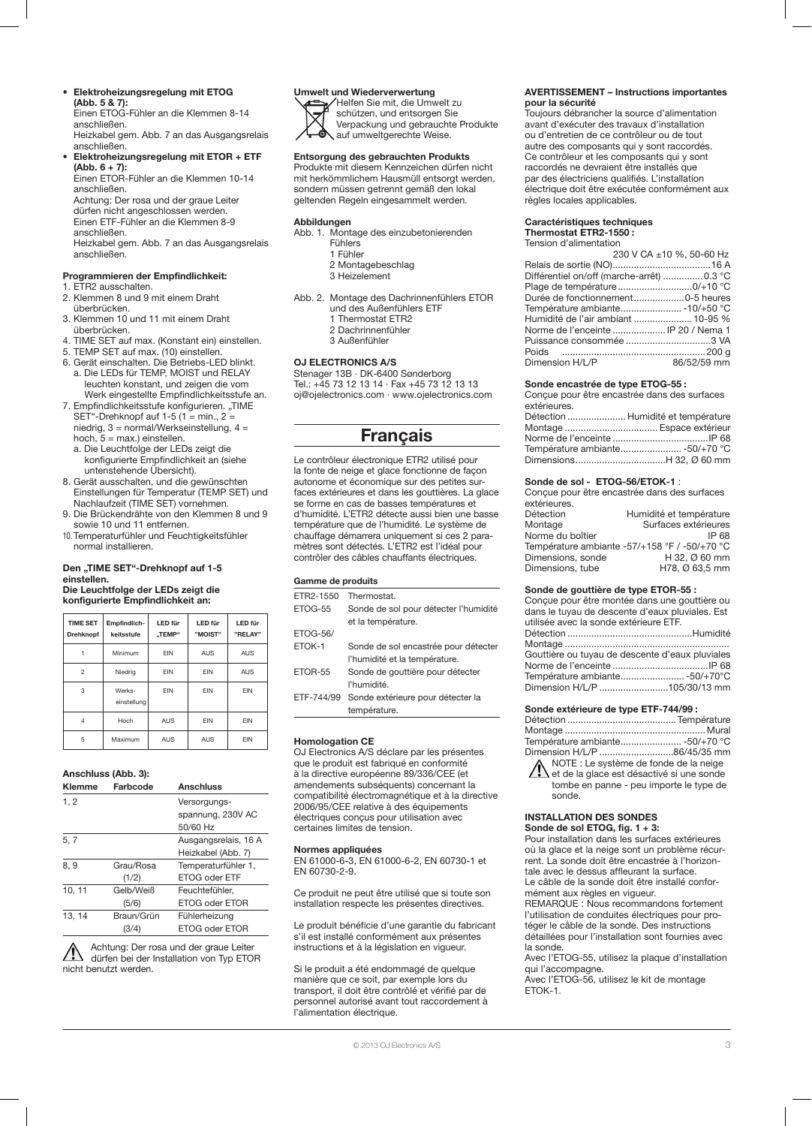## • Elektroheizungsregelung mit ETOG

(Abb. 5 & 7): Einen ETOG-Fühler an die Klemmen 8-14 anschließen. Heizkabel gem. Abb. 7 an das Ausgangsrelais

#### anschließen. • Elektroheizungsregelung mit ETOR + ETF (Abb. 6 + 7):

Einen ETOR-Fühler an die Klemmen 10-14 anschließen. Achtung: Der rosa und der graue Leiter

dürfen nicht angeschlossen werden. Einen ETF-Fühler an die Klemmen 8-9 anschließen. Heizkabel gem. Abb. 7 an das Ausgangsrelais anschließen.

## Programmieren der Empfindlichkeit:

- 1. ETR2 ausschalten.
- 2. Klemmen 8 und 9 mit einem Draht überbrücken.
- 3. Klemmen 10 und 11 mit einem Draht überbrücken.
- 4. TIME SET auf max. (Konstant ein) einstellen.
- 5. TEMP SET auf max. (10) einstellen.
- 6. Gerät einschalten. Die Betriebs-LED blinkt. a. Die LEDs für TEMP, MOIST und RELAY leuchten konstant, und zeigen die vom Werk eingestellte Empfindlichkeitsstufe an.
- 7. Empfindlichkeitsstufe konfigurieren. "TIME SET"-Drehknopf auf 1-5 (1 = min.,  $2 =$ niedrig, 3 = normal/Werkseinstellung, 4 =
- hoch,  $5 = \text{max.}$ ) einstellen. a. Die Leuchtfolge der LEDs zeigt die
- konfigurierte Empfindlichkeit an (siehe untenstehende Übersicht).
- 8. Gerät ausschalten, und die gewünschten Einstellungen für Temperatur (TEMP SET) und Nachlaufzeit (TIME SET) vornehmen.
- 9. Die Brückendrähte von den Klemmen 8 und 9 sowie 10 und 11 entfernen.
- 10. Temperaturfühler und Feuchtigkeitsfühler normal installieren.

#### Den "TIME SET"-Drehknopf auf 1-5 einstellen. Die Leuchtfolge der LEDs zeigt die konfigurierte Empfindlichkeit an:

| <b>TIME SET</b><br><b>Drehknopf</b> | Empfindlich-<br>keitsstufe | LED für<br>"TEMP" | LED für<br>"MOIST" | LED für<br>"RELAY" |
|-------------------------------------|----------------------------|-------------------|--------------------|--------------------|
|                                     | Minimum                    | <b>FIN</b>        | <b>AUS</b>         | <b>AUS</b>         |
| $\mathfrak{p}$                      | Niedrig                    | <b>FIN</b>        | EIN                | <b>AUS</b>         |
| 3                                   | Werks-<br>einstellung      | <b>FIN</b>        | <b>FIN</b>         | <b>FIN</b>         |
| $\overline{4}$                      | Hoch                       | <b>AUS</b>        | <b>FIN</b>         | EIN                |
| 5                                   | Maximum                    | <b>AUS</b>        | <b>AUS</b>         | EIN                |

### Anschluss (Abb. 3):

| <b>Klemme</b> | Farbcode   | <b>Anschluss</b>     |
|---------------|------------|----------------------|
| 1, 2          |            | Versorgungs-         |
|               |            | spannung, 230V AC    |
|               |            | 50/60 Hz             |
| 5, 7          |            | Ausgangsrelais, 16 A |
|               |            | Heizkabel (Abb. 7)   |
| 8, 9          | Grau/Rosa  | Temperaturfühler 1,  |
|               | (1/2)      | ETOG oder ETF        |
| 10, 11        | Gelb/Weiß  | Feuchtefühler.       |
|               | (5/6)      | ETOG oder ETOR       |
| 13, 14        | Braun/Grün | Fühlerheizung        |
|               | (3/4)      | ETOG oder ETOR       |

Achtung: Der rosa und der graue Leiter dürfen bei der Installation von Typ ETOR nicht benutzt werden.

## Umwelt und Wiederverwertung

Helfen Sie mit, die Umwelt zu schützen, und entsorgen Sie Verpackung und gebrauchte Produkte

auf umweltgerechte Weise.

## Entsorgung des gebrauchten Produkts

Produkte mit diesem Kennzeichen dürfen nicht mit herkömmlichem Hausmüll entsorgt werden, sondern müssen getrennt gemäß den lokal geltenden Regeln eingesammelt werden.

#### Abbildungen

- Abb. 1. Montage des einzubetonierenden Fühlers 1 Fühler 2 Montagebeschlag 3 Heizelement
- Abb. 2. Montage des Dachrinnenfühlers ETOR und des Außenfühlers ETF 1 Thermostat ETR2 2 Dachrinnenfühler 3 Außenfühler

### OJ ELECTRONICS A/S

Stenager 13B · DK-6400 Sønderborg Tel.: +45 73 12 13 14 · Fax +45 73 12 13 13 oj@ojelectronics.com · www.ojelectronics.com

## Français

Le contrôleur électronique ETR2 utilisé pour la fonte de neige et glace fonctionne de façon autonome et économique sur des petites surfaces extérieures et dans les gouttières. La glace se forme en cas de basses températures et d'humidité. L'ETR2 détecte aussi bien une basse température que de l'humidité. Le système de chauffage démarrera uniquement si ces 2 paramètres sont détectés. L'ETR2 est l'idéal pour contrôler des câbles chauffants électriques.

## Gamme de produits

| ETR2-1550       | Thermostat.                           |
|-----------------|---------------------------------------|
| ETOG-55         | Sonde de sol pour détecter l'humidité |
|                 | et la température.                    |
| <b>ETOG-56/</b> |                                       |
| ETOK-1          | Sonde de sol encastrée pour détecter  |
|                 | l'humidité et la température.         |
| ETOR-55         | Sonde de gouttière pour détecter      |
|                 | l'humidité.                           |
| ETF-744/99      | Sonde extérieure pour détecter la     |
|                 | température.                          |
|                 |                                       |

## Homologation CE

OJ Electronics A/S déclare par les présentes que le produit est fabriqué en conformité à la directive européenne 89/336/CEE (et amendements subséquents) concernant la compatibilité électromagnétique et à la directive 2006/95/CEE relative à des équipements électriques conçus pour utilisation avec certaines limites de tension.

## Normes appliquées

EN 61000-6-3, EN 61000-6-2, EN 60730-1 et EN 60730-2-9.

Ce produit ne peut être utilisé que si toute son installation respecte les présentes directives.

Le produit bénéficie d'une garantie du fabricant s'il est installé conformément aux présentes instructions et à la législation en vigueur.

Si le produit a été endommagé de quelque manière que ce soit, par exemple lors du transport, il doit être contrôlé et vérifié par de personnel autorisé avant tout raccordement à l'alimentation électrique.

#### AVERTISSEMENT – Instructions importantes pour la sécurité

.<br>Toujours débrancher la source d'alimentation avant d'exécuter des travaux d'installation ou d'entretien de ce contrôleur ou de tout autre des composants qui y sont raccordés. Ce contrôleur et les composants qui y sont raccordés ne devraient être installés que par des électriciens qualifiés. L'installation électrique doit être exécutée conformément aux règles locales applicables.

#### Caractéristiques techniques Thermostat ETR2-1550 :

Tension d'alimentation

|                                            | 230 V CA ±10 %, 50-60 Hz |
|--------------------------------------------|--------------------------|
|                                            |                          |
| Différentiel on/off (marche-arrêt)  0.3 °C |                          |
|                                            |                          |
|                                            |                          |
| Température ambiante - 10/+50 °C           |                          |
| Humidité de l'air ambiant  10-95 %         |                          |
| Norme de l'enceinte  IP 20 / Nema 1        |                          |
|                                            |                          |
|                                            |                          |
| Dimension H/L/P                            | 86/52/59 mm              |
|                                            |                          |

## Sonde encastrée de type ETOG-55 :

|              | Conçue pour être encastrée dans des surfaces |
|--------------|----------------------------------------------|
| extérieures. |                                              |
|              | Détection  Humidité et température           |
|              |                                              |
|              |                                              |
|              | Température ambiante -50/+70 °C              |

Dimensions..................................H 32, Ø 60 mm

#### Sonde de sol - ETOG-56/ETOK-1 :

| Concue pour être encastrée dans des surfaces |                                               |  |
|----------------------------------------------|-----------------------------------------------|--|
| extérieures.                                 |                                               |  |
| Détection                                    | Humidité et température                       |  |
| Montage                                      | Surfaces extérieures                          |  |
| Norme du boîtier                             | IP 68                                         |  |
|                                              | Température ambiante -57/+158 °F / -50/+70 °C |  |
| Dimensions, sonde                            | H 32, Ø 60 mm                                 |  |
| Dimensions, tube                             | H78, Ø 63,5 mm                                |  |

#### Sonde de gouttière de type ETOR-55 :

Conçue pour être montée dans une gouttière ou dans le tuyau de descente d'eaux pluviales. Est utilisée avec la sonde extérieure ETF.

| Gouttière ou tuyau de descente d'eaux pluviales |  |
|-------------------------------------------------|--|
|                                                 |  |
|                                                 |  |
| Dimension H/L/P 105/30/13 mm                    |  |

### Sonde extérieure de type ETF-744/99 :

| Dimension H/L/P 86/45/35 mm |  |
|-----------------------------|--|
|                             |  |

NOTE : Le système de fonde de la neige <sup>1</sup> et de la glace est désactivé si une sonde tombe en panne - peu importe le type de sonde.

### INSTALLATION DES SONDES Sonde de sol ETOG, fig. 1 + 3:

Pour installation dans les surfaces extérieures où la glace et la neige sont un problème récurrent. La sonde doit être encastrée à l'horizontale avec le dessus affleurant la surface. Le câble de la sonde doit être installé conformément aux règles en vigueur. REMARQUE : Nous recommandons fortement

l'utilisation de conduites électriques pour protéger le câble de la sonde. Des instructions détaillées pour l'installation sont fournies avec la sonde.

Avec l'ETOG-55, utilisez la plaque d'installation qui l'accompagne.

Avec l'ETOG-56, utilisez le kit de montage ETOK-1.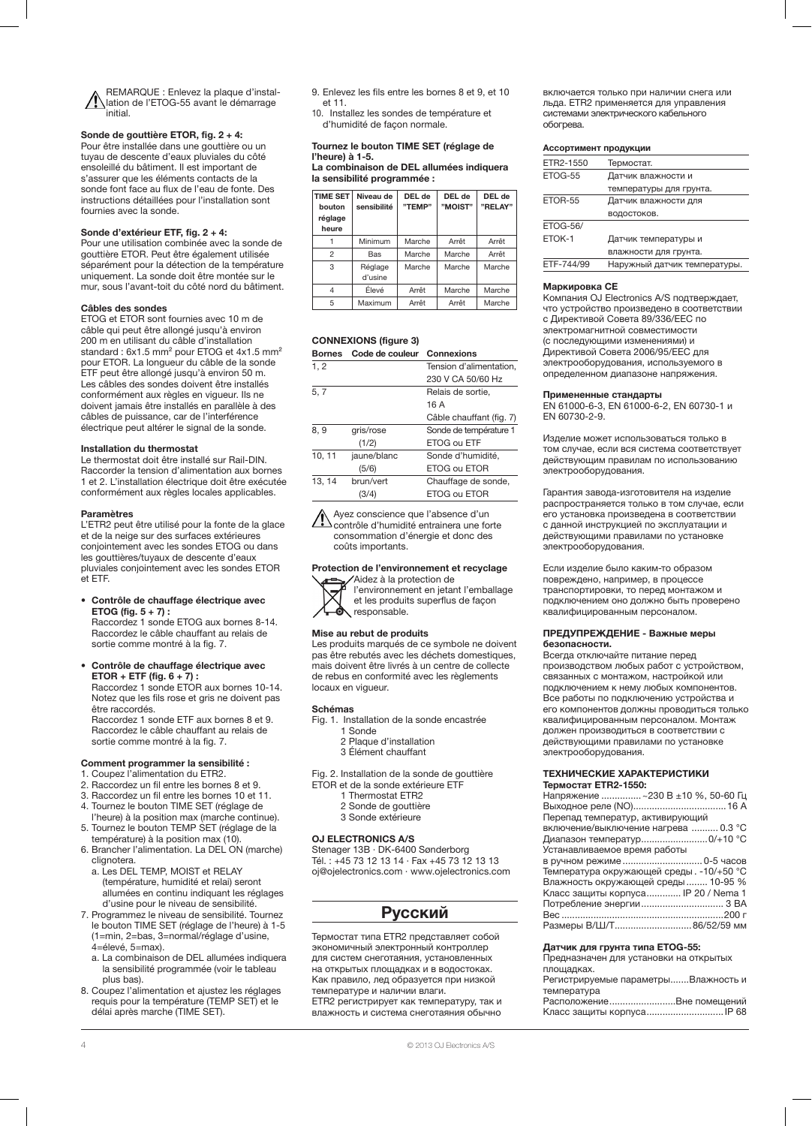REMARQUE : Enlevez la plaque d'installation de l'ETOG-55 avant le démarrage initial.

## Sonde de gouttière ETOR, fig. 2 + 4:

Pour être installée dans une gouttière ou un tuyau de descente d'eaux pluviales du côté ensoleillé du bâtiment. Il est important de s'assurer que les éléments contacts de la sonde font face au flux de l'eau de fonte. Des instructions détaillées pour l'installation sont fournies avec la sonde.

## Sonde d'extérieur ETF, fig. 2 + 4:

Pour une utilisation combinée avec la sonde de gouttière ETOR. Peut être également utilisée séparément pour la détection de la température uniquement. La sonde doit être montée sur le mur, sous l'avant-toit du côté nord du bâtiment.

#### Câbles des sondes

ETOG et ETOR sont fournies avec 10 m de câble qui peut être allongé jusqu'à environ 200 m en utilisant du câble d'installation standard : 6x1.5 mm<sup>2</sup> pour ETOG et 4x1.5 mm<sup>2</sup> pour ETOR. La longueur du câble de la sonde ETF peut être allongé jusqu'à environ 50 m. Les câbles des sondes doivent être installés conformément aux règles en vigueur. Ils ne doivent jamais être installés en parallèle à des câbles de puissance, car de l'interférence électrique peut altérer le signal de la sonde.

#### Installation du thermostat

Le thermostat doit être installé sur Rail-DIN. Raccorder la tension d'alimentation aux bornes 1 et 2. L'installation électrique doit être exécutée conformément aux règles locales applicables.

### Paramètres

L'ETR2 peut être utilisé pour la fonte de la glace et de la neige sur des surfaces extérieures conjointement avec les sondes ETOG ou dans les gouttières/tuyaux de descente d'eaux pluviales conjointement avec les sondes ETOR et ETF.

## • Contrôle de chauffage électrique avec ETOG (fig.  $5 + 7$ ) :

Raccordez 1 sonde ETOG aux bornes 8-14. Raccordez le câble chauffant au relais de sortie comme montré à la fig. 7.

• Contrôle de chauffage électrique avec  $ETOR + ETF$  (fig.  $6 + 7$ ) : Raccordez 1 sonde ETOR aux bornes 10-14.

Notez que les fils rose et gris ne doivent pas être raccordés. Raccordez 1 sonde ETF aux bornes 8 et 9.

Raccordez le câble chauffant au relais de sortie comme montré à la fig. 7.

#### Comment programmer la sensibilité :

- 1. Coupez l'alimentation du ETR2.
- 2. Raccordez un fil entre les bornes 8 et 9.
- 3. Raccordez un fil entre les bornes 10 et 11. 4. Tournez le bouton TIME SET (réglage de
- l'heure) à la position max (marche continue).
- 5. Tournez le bouton TEMP SET (réglage de la température) à la position max (10).
- 6. Brancher l'alimentation. La DEL ON (marche) clignotera. a. Les DEL TEMP, MOIST et RELAY
- (température, humidité et relai) seront allumées en continu indiquant les réglages d'usine pour le niveau de sensibilité.
- 7. Programmez le niveau de sensibilité. Tournez le bouton TIME SET (réglage de l'heure) à 1-5 (1=min, 2=bas, 3=normal/réglage d'usine, 4=élevé, 5=max).
- a. La combinaison de DEL allumées indiquera la sensibilité programmée (voir le tableau plus bas).
- 8. Coupez l'alimentation et ajustez les réglages requis pour la température (TEMP SET) et le délai après marche (TIME SET).
- 9. Enlevez les fils entre les bornes 8 et 9, et 10 et 11.
- 10. Installez les sondes de température et d'humidité de façon normale.

## Tournez le bouton TIME SET (réglage de l'heure) à 1-5.

La combinaison de DEL allumées indiquera la sensibilité programmée :

| <b>TIME SET</b><br>bouton<br>réglage<br>heure | Niveau de<br>sensibilité | DEL de<br>"TEMP" | DEL de<br>"MOIST" | DEL de<br>"RELAY" |
|-----------------------------------------------|--------------------------|------------------|-------------------|-------------------|
|                                               | Minimum                  | Marche           | Arrêt             | Arrêt             |
| 2                                             | Bas                      | Marche           | Marche            | Arrêt             |
| 3                                             | Réglage<br>d'usine       | Marche           | Marche            | Marche            |
| 4                                             | Élevé                    | Arrêt            | Marche            | Marche            |
| 5                                             | Maximum                  | Arrêt            | Arrêt             | Marche            |

## CONNEXIONS (figure 3)

| Bornes Code de couleur Connexions |
|-----------------------------------|
|-----------------------------------|

| 1, 2   |             | Tension d'alimentation,  |
|--------|-------------|--------------------------|
|        |             | 230 V CA 50/60 Hz        |
| 5, 7   |             | Relais de sortie,        |
|        |             | 16 A                     |
|        |             | Câble chauffant (fig. 7) |
| 8, 9   | gris/rose   | Sonde de température 1   |
|        | (1/2)       | ETOG ou ETF              |
| 10, 11 | jaune/blanc | Sonde d'humidité,        |
|        | (5/6)       | ETOG ou ETOR             |
| 13.14  | brun/vert   | Chauffage de sonde,      |
|        | (3/4)       | ETOG ou ETOR             |

Ayez conscience que l'absence d'un contrôle d'humidité entrainera une forte consommation d'énergie et donc des coûts importants.

## Protection de l'environnement et recyclage

Aidez à la protection de l'environnement en jetant l'emballage et les produits superflus de façon responsable.

## Mise au rebut de produits

Les produits marqués de ce symbole ne doivent pas être rebutés avec les déchets domestiques, mais doivent être livrés à un centre de collecte de rebus en conformité avec les règlements locaux en vigueur.

#### Schémas

- Fig. 1. Installation de la sonde encastrée
	- 1 Sonde 2 Plaque d'installation
	- 3 Élément chauffant
- Fig. 2. Installation de la sonde de gouttière
- ETOR et de la sonde extérieure ETF
	- 1 Thermostat ETR2
	- 2 Sonde de gouttière
	- 3 Sonde extérieure

#### OJ ELECTRONICS A/S

Stenager 13B · DK-6400 Sønderborg Tél. : +45 73 12 13 14 · Fax +45 73 12 13 13 oj@ojelectronics.com · www.ojelectronics.com

## Русский

Термостат типа ЕТR2 представляет собой экономичный электронный контроллер для систем снеготаяния, установленных на открытых площадках и в водостоках. Как правило, лед образуется при низкой температуре и наличии влаги. ЕТR2 регистрирует как температуру, так и влажность и система снеготаяния обычно

включается только при наличии снега или льда. ЕТR2 применяется для управления системами электрического кабельного обогрева.

#### Ассортимент продукции

| ETR2-1550       | Термостат.                   |
|-----------------|------------------------------|
| ETOG-55         | Датчик влажности и           |
|                 | температуры для грунта.      |
| ETOR-55         | Датчик влажности для         |
|                 | водостоков.                  |
| <b>ETOG-56/</b> |                              |
| ETOK-1          | Датчик температуры и         |
|                 | влажности для грунта.        |
| ETF-744/99      | Наружный датчик температуры. |
|                 |                              |

#### Маркировка CE

Компания OJ Electronics A/S подтверждает, что устройство произведено в соответствии с Директивой Совета 89/336/EEC по электромагнитной совместимости (с последующими изменениями) и Директивой Совета 2006/95/EEC для электрооборудования, используемого в определенном диапазоне напряжения.

#### Примененные стандарты

EN 61000-6-3, EN 61000-6-2, EN 60730-1 и EN 60730-2-9.

Изделие может использоваться только в том случае, если вся система соответствует действующим правилам по использованию электрооборудования.

Гарантия завода-изготовителя на изделие распространяется только в том случае, если его установка произведена в соответствии с данной инструкцией по эксплуатации и действующими правилами по установке электрооборудования.

Если изделие было каким-то образом повреждено, например, в процессе транспортировки, то перед монтажом и подключением оно должно быть проверено квалифицированным персоналом.

#### ПРЕДУПРЕЖДЕНИЕ - Важные меры безопасности.

Всегда отключайте питание перед производством любых работ с устройством, связанных с монтажом, настройкой или подключением к нему любых компонентов. Все работы по подключению устройства и его компонентов должны проводиться только квалифицированным персоналом. Монтаж должен производиться в соответствии с действующими правилами по установке электрооборудования.

#### ТЕХНИЧЕСКИЕ ХАРАКТЕРИСТИКИ Термостат ETR2-1550:

| Напряжение  ~230 В ±10 %, 50-60 Гц       |
|------------------------------------------|
|                                          |
| Перепад температур, активирующий         |
| включение/выключение нагрева  0.3 °С     |
| Диапазон температур0/+10 °С              |
| Устанавливаемое время работы             |
| в ручном режиме 0-5 часов                |
| Температура окружающей среды. -10/+50 °С |
| Влажность окружающей среды  10-95 %      |
| Класс защиты корпуса IP 20 / Nema 1      |
|                                          |
|                                          |
| Размеры В/Ш/Т86/52/59 мм                 |
|                                          |

## Датчик для грунта типа ETOG-55:

Предназначен для установки на открытых площадках. Регистрируемые параметры.......Влажность и температура Расположение.........................Вне помещений Класс защиты корпуса.............................IP 68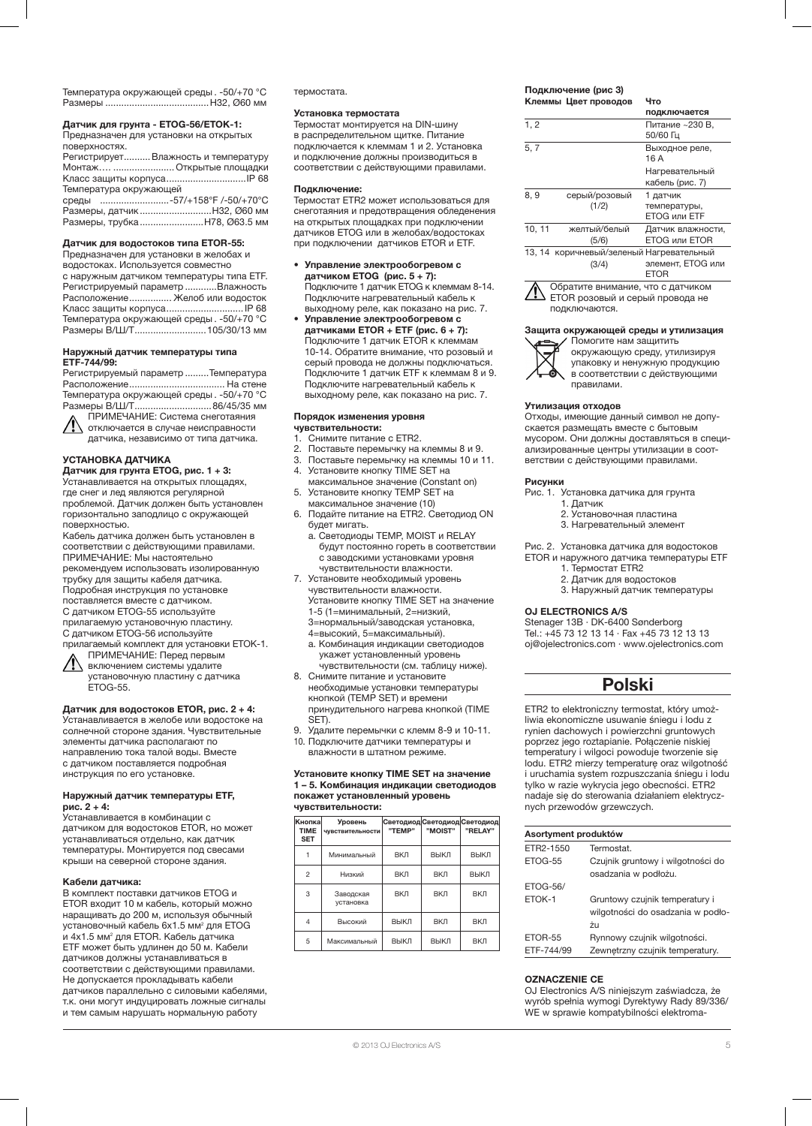Температура окружающей среды . -50/+70 °C Размеры .......................................H32, Ø60 мм

Датчик для грунта - ETOG-56/ETOK-1:

Предназначен для установки на открытых поверхностях.

Регистрирует..........Влажность и температуру Монтаж…. ....................... Открытые площадки Класс защиты корпуса...... Температура окружающей

среды ..........................-57/+158°F /-50/+70°C Размеры, датчик...........................H32, Ø60 мм Размеры, трубка........................H78, Ø63.5 мм

## Датчик для водостоков типа ETOR-55:

Предназначен для установки в желобах и водостоках. Используется совместно с наружным датчиком температуры типа ETF. Регистрируемый параметр ............Влажность Расположение................ Желоб или водосток Класс защиты корпуса.............................IP 68 Температура окружающей среды . -50/+70 °C Размеры В/Ш/Т...........................105/30/13 мм

#### Наружный датчик температуры типа ETF-744/99:

Регистрируемый параметр .........Температура Расположение.................................... На стене Температура окружающей среды . -50/+70 °C Размеры В/Ш/Т.............................86/45/35 мм

ПРИМЕЧАНИЕ: Система снеготаяния отключается в случае неисправности датчика, независимо от типа датчика.

## УСТАНОВКА ДАТЧИКА

Датчик для грунта ETOG, рис. 1 + 3: Устанавливается на открытых площадях, где снег и лед являются регулярной проблемой. Датчик должен быть установлен горизонтально заподлицо с окружающей поверхностью.

Кабель датчика должен быть установлен в соответствии с действующими правилами. ПРИМЕЧАНИЕ: Мы настоятельно

рекомендуем использовать изолированную трубку для защиты кабеля датчика. Подробная инструкция по установке

поставляется вместе с датчиком.

С датчиком ETOG-55 используйте

прилагаемую установочную пластину.

С датчиком ETOG-56 используйте прилагаемый комплект для установки ETOK-1. ПРИМЕЧАНИЕ: Перед первым

включением системы удалите установочную пластину с датчика ETOG-55.

## Датчик для водостоков ETOR, рис. 2 + 4:

Устанавливается в желобе или водостоке на солнечной стороне здания. Чувствительные элементы датчика располагают по направлению тока талой воды. Вместе с датчиком поставляется подробная инструкция по его установке.

#### Наружный датчик температуры ETF, рис. 2 + 4:

.<br>Устанавливается в комбинации с датчиком для водостоков ETOR, но может устанавливаться отдельно, как датчик температуры. Монтируется под свесами крыши на северной стороне здания.

## Кабели датчика:

В комплект поставки датчиков ETOG и ETOR входит 10 м кабель, который можно наращивать до 200 м, используя обычный установочный кабель 6x1.5 мм<sup>2</sup> для ETOG и 4x1.5 мм<sup>2</sup> для ETOR. Кабель датчика ETF может быть удлинен до 50 м. Кабели датчиков должны устанавливаться в соответствии с действующими правилами. Не допускается прокладывать кабели датчиков параллельно с силовыми кабелями, т.к. они могут индуцировать ложные сигналы и тем самым нарушать нормальную работу

термостата.

#### Установка термостата

Термостат монтируется на DIN-шину в распределительном щитке. Питание подключается к клеммам 1 и 2. Установка и подключение должны производиться в соответствии с действующими правилами.

#### Подключение:

Термостат ETR2 может использоваться для снеготаяния и предотвращения обледенения на открытых площадках при подключении датчиков ETOG или в желобах/водостоках при подключении датчиков ETOR и ETF.

- Управление электрообогревом с датчиком ETOG (рис. 5 + 7): Подключите 1 датчик ETOG к клеммам 8-14. Подключите нагревательный кабель к выходному реле, как показано на рис. 7.
- Управление электрообогревом с датчиками ETOR + ETF (рис. 6 + 7): .<br>Подключите 1 датчик ETOR к клеммам 10-14. Обратите внимание, что розовый и серый провода не должны подключаться. Подключите 1 датчик ETF к клеммам 8 и 9. Подключите нагревательный кабель к выходному реле, как показано на рис. 7.

#### Порядок изменения уровня чувствительности:

- 1. Снимите питание с ETR2.
- 2. Поставьте перемычку на клеммы 8 и 9.<br>3. Поставьте перемычку на клеммы 10 и 1
- 3. Поставьте перемычку на клеммы 10 и 11.
- 4. Установите кнопку TIME SET на максимальное значение (Constant on)
- **SET HE AND THE SET HE ARE SET HAND SET HAND SET HAT A SET HAT A SET HAT A SET HAND SET HAT A SET HAND SET HAND SET HAND SET HAND SET HAND SET HAND SET HAND SET HAND SET HAND SET HAND SET HAND SET HAND SET HAND SET HAND S** максимальное значение (10)
- 6. Подайте питание на ETR2. Светодиод ON будет мигать.
	- a. Светодиоды TEMP, MOIST и RELAY будут постоянно гореть в соответствии с заводскими установками уровня чувствительности влажности.
- 7. Установите необходимый уровень чувствительности влажности.
- Установите кнопку TIME SET на значение 1-5 (1=минимальный, 2=низкий, 3=нормальный/заводская установка,
	- 4=высокий, 5=максимальный).
- a. Комбинация индикации светодиодов укажет установленный уровень чувствительности (см. таблицу ниже).
- 8. Снимите питание и установите необходимые установки температуры кнопкой (TEMP SET) и времени принудительного нагрева кнопкой (TIME SET).
- 9. Удалите перемычки с клемм 8-9 и 10-11. 10. Подключите датчики температуры и влажности в штатном режиме.

#### Установите кнопку TIME SET на значение 1 – 5. Комбинация индикации светодиодов покажет установленный уровень чувствительности:

| Кнопка<br><b>TIME</b><br><b>SET</b> | Уровень<br>чувствительности | <b>Светодиод Светодиод Светодиод</b><br>"TEMP" | "MOIST" | "RELAY"    |
|-------------------------------------|-----------------------------|------------------------------------------------|---------|------------|
|                                     | Минимальный                 | <b>ВКЛ</b>                                     | ВЫКЛ    | ВЫКЛ       |
| $\overline{c}$                      | Низкий                      | <b>ВКЛ</b>                                     | BКЛ     | ВЫКЛ       |
| 3                                   | Заводская<br>установка      | <b>ВКЛ</b>                                     | BКЛ     | <b>ВКЛ</b> |
| 4                                   | Высокий                     | ВЫКЛ                                           | BКЛ     | BКЛ        |
| 5                                   | Максимальный                | ВЫКЛ                                           | ВЫКЛ    | BКЛ        |

#### Подключение (pис 3) Клеммы Цвет проводов Что

|        |                                   | подключается                      |
|--------|-----------------------------------|-----------------------------------|
| 1, 2   |                                   | Питание ~230 В,<br>50/60 Гц       |
| 5, 7   |                                   | Выходное реле,<br>16A             |
|        |                                   | Нагревательный<br>кабель (рис. 7) |
| 8, 9   | серый/розовый                     | 1 датчик                          |
|        | (1/2)                             | температуры,                      |
|        |                                   | <b>ETOG или ETF</b>               |
| 10, 11 | желтый/белый                      | Датчик влажности,                 |
|        | (5/6)                             | <b>ETOG или ETOR</b>              |
| 13.14  | коричневый/зеленый Нагревательный |                                   |
|        | (3/4)                             | элемент. ETOG или<br><b>ETOR</b>  |

Обратите внимание, что с датчиком ETOR розовый и серый провода не подключаются.

## Защита окружающей среды и утилизация



Помогите нам защитить окружающую среду, утилизируя упаковку и ненужную продукцию в соответствии с действующими правилами.

#### Утилизация отходов

Отходы, имеющие данный символ не допускается размещать вместе с бытовым мусором. Они должны доставляться в специализированные центры утилизации в соответствии с действующими правилами.

#### Рисунки

Рис. 1. Установка датчика для грунта

- 1. Датчик
- 2. Установочная пластина
- 3. Нагревательный элемент

Рис. 2. Установка датчика для водостоков ETOR и наружного датчика температуры ETF

- 1. Термостат ETR2
- 2. Датчик для водостоков
- 3. Наружный датчик температуры

## OJ ELECTRONICS A/S

Stenager 13B · DK-6400 Sønderborg Tel.: +45 73 12 13 14 · Fax +45 73 12 13 13 oj@ojelectronics.com · www.ojelectronics.com

## Polski

ETR2 to elektroniczny termostat, który umożliwia ekonomiczne usuwanie śniegu i lodu z rynien dachowych i powierzchni gruntowych poprzez jego roztapianie. Połączenie niskiej temperatury i wilgoci powoduje tworzenie się lodu. ETR2 mierzy temperaturę oraz wilgotność i uruchamia system rozpuszczania śniegu i lodu tylko w razie wykrycia jego obecności. ETR2 nadaje się do sterowania działaniem elektrycznych przewodów grzewczych.

| Asortyment produktów |                                   |
|----------------------|-----------------------------------|
| FTR2-1550            | Termostat                         |
| <b>FTOG-55</b>       | Czujnik gruntowy i wilgotności do |
|                      | osadzania w podłożu.              |
| <b>ETOG-56/</b>      |                                   |
| FTOK-1               | Gruntowy czujnik temperatury i    |
|                      | wilgotności do osadzania w podło- |
|                      | żu                                |
| <b>FTOR-55</b>       | Rynnowy czujnik wilgotności.      |
| ETF-744/99           | Zewnętrzny czujnik temperatury.   |

## OZNACZENIE CE

OJ Electronics A/S niniejszym zaświadcza, że wyrób spełnia wymogi Dyrektywy Rady 89/336/ WE w sprawie kompatybilności elektroma-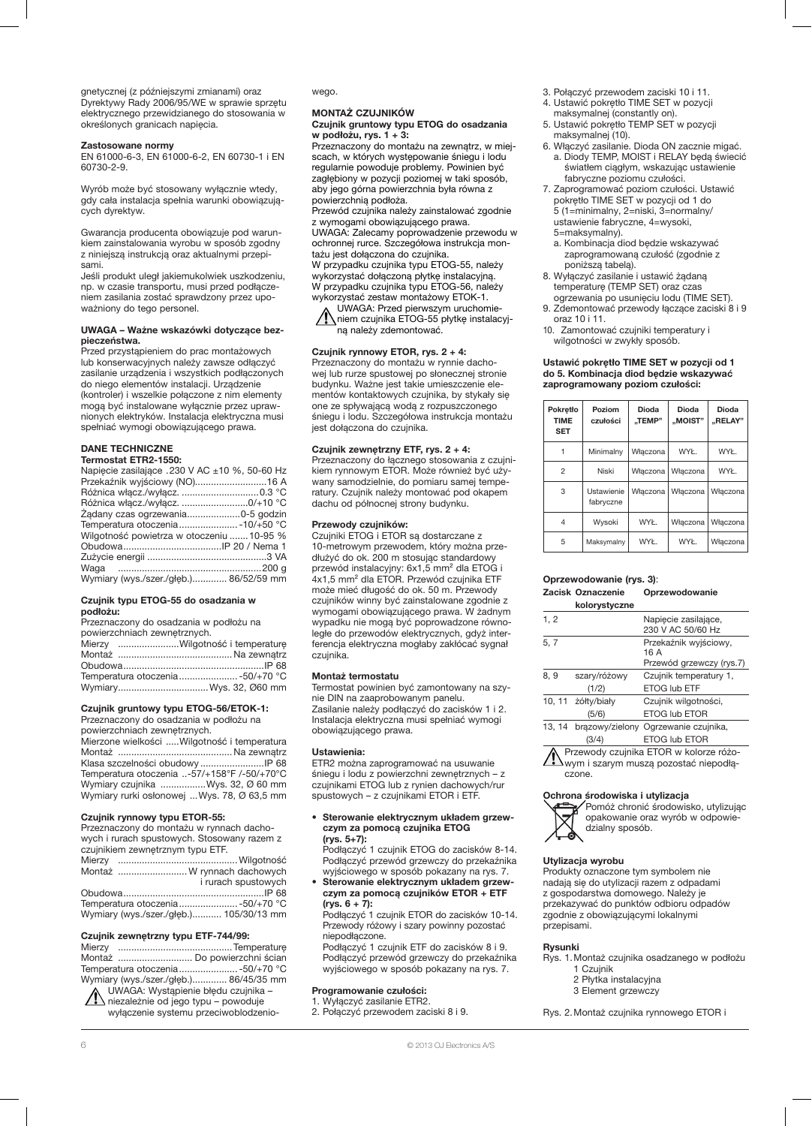gnetycznej (z późniejszymi zmianami) oraz Dyrektywy Rady 2006/95/WE w sprawie sprzętu elektrycznego przewidzianego do stosowania w określonych granicach napięcia.

#### Zastosowane normy

EN 61000-6-3, EN 61000-6-2, EN 60730-1 i EN 60730-2-9.

Wyrób może być stosowany wyłącznie wtedy, gdy cała instalacja spełnia warunki obowiązujących dyrektyw.

Gwarancja producenta obowiązuje pod warunkiem zainstalowania wyrobu w sposób zgodny z niniejszą instrukcją oraz aktualnymi przepisami.

Jeśli produkt uległ jakiemukolwiek uszkodzeniu, np. w czasie transportu, musi przed podłączeniem zasilania zostać sprawdzony przez upoważniony do tego personel.

#### UWAGA – Ważne wskazówki dotyczące bezpieczeństwa.

Przed przystąpieniem do prac montażowych lub konserwacyjnych należy zawsze odłączyć zasilanie urządzenia i wszystkich podłączonych do niego elementów instalacji. Urządzenie (kontroler) i wszelkie połączone z nim elementy mogą być instalowane wyłącznie przez uprawnionych elektryków. Instalacja elektryczna musi spełniać wymogi obowiązującego prawa.

## DANE TECHNICZNE

| Termostat ETR2-1550:                          |  |
|-----------------------------------------------|--|
| Napiecie zasilające .230 V AC ±10 %, 50-60 Hz |  |
|                                               |  |
|                                               |  |
| Różnica włącz./wyłącz. 0/+10 °C               |  |
| Ządany czas ogrzewania0-5 godzin              |  |
| Temperatura otoczenia  - 10/+50 °C            |  |
| Wilgotność powietrza w otoczeniu  10-95 %     |  |
|                                               |  |
|                                               |  |
|                                               |  |
| Wymiary (wys./szer./qłeb.) 86/52/59 mm        |  |

#### Czujnik typu ETOG-55 do osadzania w podłożu:

| Przeznaczony do osadzania w podłożu na |                                  |
|----------------------------------------|----------------------------------|
| powierzchniach zewnetrznych.           |                                  |
|                                        | Mierzy Wilgotność i temperature  |
|                                        |                                  |
|                                        |                                  |
|                                        | Temperatura otoczenia -50/+70 °C |
|                                        | WymiaryWys. 32, Ø60 mm           |

## Czujnik gruntowy typu ETOG-56/ETOK-1:

Przeznaczony do osadzania w podłożu na powierzchniach zewnętrznych. Mierzone wielkości .....Wilgotność i temperatura Montaż ........................................... Na zewnątrz Klasa szczelności obudowy ........................IP 68 Temperatura otoczenia ..-57/+158°F /-50/+70°C Wymiary czujnika .................Wys. 32, Ø 60 mm Wymiary rurki osłonowej ...Wys. 78, Ø 63,5 mm

## Czujnik rynnowy typu ETOR-55:

Przeznaczony do montażu w rynnach dachowych i rurach spustowych. Stosowany razem z czujnikiem zewnętrznym typu ETF.<br>Mierzy Mierzy .............................................Wilgotność

|  | Montaż  W rynnach dachowych             |
|--|-----------------------------------------|
|  | i rurach spustowych                     |
|  |                                         |
|  | Temperatura otoczenia -50/+70 °C        |
|  | Wymiary (wys./szer./głęb.) 105/30/13 mm |

#### Czujnik zewnętrzny typu ETF-744/99:

| Montaż  Do powierzchni ścian           |  |
|----------------------------------------|--|
| Temperatura otoczenia -50/+70 °C       |  |
| Wymiary (wys./szer./głęb.) 86/45/35 mm |  |

UWAGA: Wystąpienie błędu czujnika –  $\Delta$  niezależnie od jego typu – powoduje wyłączenie systemu przeciwoblodzeniowego.

#### MONTAŻ CZUJNIKÓW Czujnik gruntowy typu ETOG do osadzania

## w podłożu, rys.  $1 + 3$ :

Przeznaczony do montażu na zewnątrz, w miejscach, w których występowanie śniegu i lodu regularnie powoduje problemy. Powinien być zagłębiony w pozycji poziomej w taki sposób, aby jego górna powierzchnia była równa z powierzchnią podłoża.

Przewód czujnika należy zainstalować zgodnie z wymogami obowiązującego prawa. UWAGA: Zalecamy poprowadzenie przewodu w ochronnej rurce. Szczegółowa instrukcja montażu jest dołączona do czujnika. W przypadku czujnika typu ETOG-55, należy

wykorzystać dołączoną płytkę instalacyjną. W przypadku czujnika typu ETOG-56, należy wykorzystać zestaw montażowy ETOK-1. UWAGA: Przed pierwszym uruchomie-

niem czujnika ETOG-55 płytkę instalacyjną należy zdemontować.

## Czujnik rynnowy ETOR, rys. 2 + 4:

Przeznaczony do montażu w rynnie dachowej lub rurze spustowej po słonecznej stronie budynku. Ważne jest takie umieszczenie elementów kontaktowych czujnika, by stykały się one ze spływającą wodą z rozpuszczonego śniegu i lodu. Szczegółowa instrukcja montażu jest dołączona do czujnika.

## Czujnik zewnętrzny ETF, rys. 2 + 4:

Przeznaczony do łącznego stosowania z czujnikiem rynnowym ETOR. Może również być używany samodzielnie, do pomiaru samej temperatury. Czujnik należy montować pod okapem dachu od północnej strony budynku.

## Przewody czujników:

Czujniki ETOG i ETOR są dostarczane z 10-metrowym przewodem, który można przedłużyć do ok. 200 m stosując standardowy przewód instalacyjny: 6x1,5 mm² dla ETOG i 4x1,5 mm² dla ETOR. Przewód czujnika ETF może mieć długość do ok. 50 m. Przewody czujników winny być zainstalowane zgodnie z wymogami obowiązującego prawa. W żadnym wypadku nie mogą być poprowadzone równoległe do przewodów elektrycznych, gdyż interferencja elektryczna mogłaby zakłócać sygnał czujnika.

#### Montaż termostatu

Termostat powinien być zamontowany na szynie DIN na zaaprobowanym panelu. Zasilanie należy podłączyć do zacisków 1 i 2. Instalacja elektryczna musi spełniać wymogi obowiązującego prawa.

#### Ustawienia:

ETR2 można zaprogramować na usuwanie śniegu i lodu z powierzchni zewnętrznych – z czujnikami ETOG lub z rynien dachowych/rur spustowych – z czujnikami ETOR i ETF.

#### • Sterowanie elektrycznym układem grzewczym za pomocą czujnika ETOG (rys. 5+7):

Podłączyć 1 czujnik ETOG do zacisków 8-14. Podłączyć przewód grzewczy do przekaźnika wyjściowego w sposób pokazany na rys. 7.

• Sterowanie elektrycznym układem grzewczym za pomocą czujników ETOR + ETF (rys. 6 + 7):

Podłączyć 1 czujnik ETOR do zacisków 10-14. Przewody różowy i szary powinny pozostać niepodłączone.

Podłączyć 1 czujnik ETF do zacisków 8 i 9. Podłączyć przewód grzewczy do przekaźnika wyjściowego w sposób pokazany na rys. 7.

## Programowanie czułości:

1. Wyłączyć zasilanie ETR2. 2. Połączyć przewodem zaciski 8 i 9.

- 3. Połączyć przewodem zaciski 10 i 11.
- 4. Ustawić pokrętło TIME SET w pozycji maksymalnej (constantly on).
- 5. Ustawić pokrętło TEMP SET w pozycji maksymalnej (10).
- 6. Włączyć zasilanie. Dioda ON zacznie migać. a. Diody TEMP, MOIST i RELAY będą świecić światłem ciągłym, wskazując ustawienie fabryczne poziomu czułości.
- 7. Zaprogramować poziom czułości. Ustawić pokrętło TIME SET w pozycji od 1 do 5 (1=minimalny, 2=niski, 3=normalny/ ustawienie fabryczne, 4=wysoki, 5=maksymalny).
	- a. Kombinacja diod będzie wskazywać zaprogramowaną czułość (zgodnie z poniższą tabelą).
- 8. Wyłączyć zasilanie i ustawić żądaną temperaturę (TEMP SET) oraz czas ogrzewania po usunięciu lodu (TIME SET).
- 9. Zdemontować przewody łączące zaciski 8 i 9 oraz 10 i 11.
- 10. Zamontować czujniki temperatury i wilgotności w zwykły sposób.

#### Ustawić pokrętło TIME SET w pozycji od 1 do 5. Kombinacja diod będzie wskazywać zaprogramowany poziom czułości:

| Pokretło<br><b>TIME</b><br><b>SET</b> | Poziom<br>czułości      | Dioda<br>TEMP" | Dioda<br>"MOIST" | <b>Dioda</b><br>"RELAY" |
|---------------------------------------|-------------------------|----------------|------------------|-------------------------|
|                                       | Minimalny               | Właczona       | WYŁ.             | WYŁ.                    |
| $\overline{2}$                        | Niski                   | Właczona       | Właczona         | WYŁ.                    |
| 3                                     | Ustawienie<br>fabryczne | Właczona       | Właczona         | Włączona                |
| 4                                     | Wysoki                  | WYŁ.           | Właczona         | Włączona                |
| 5                                     | Maksymalny              | WYŁ.           | WYŁ.             | Właczona                |

## Oprzewodowanie (rys. 3): Zacisk Oznaczenie Oprzewodowanie

|       | kolorystyczne |                                           |
|-------|---------------|-------------------------------------------|
| 1, 2  |               | Napiecie zasilające,<br>230 V AC 50/60 Hz |
| 5, 7  |               | Przekaźnik wyjściowy,<br>16 A             |
|       |               | Przewód grzewczy (rys.7)                  |
| 8, 9  | szary/różowy  | Czujnik temperatury 1,                    |
|       | (1/2)         | ETOG lub ETF                              |
| 10.11 | żółty/biały   | Czujnik wilgotności,                      |
|       | (5/6)         | <b>ETOG lub ETOR</b>                      |
| 13.14 |               | brazowy/zielony Ogrzewanie czujnika,      |
|       | (3/4)         | <b>ETOG lub ETOR</b>                      |
|       |               | Przewody czujnika ETOR w kolorze różo-    |

wym i szarym muszą pozostać niepodłączone.

#### Ochrona środowiska i utylizacja



Pomóż chronić środowisko, utylizując opakowanie oraz wyrób w odpowiedzialny sposób.

## Utylizacja wyrobu

Produkty oznaczone tym symbolem nie nadają się do utylizacji razem z odpadami z gospodarstwa domowego. Należy je przekazywać do punktów odbioru odpadów zgodnie z obowiązującymi lokalnymi przepisami.

#### Rysunki

- Rys. 1.Montaż czujnika osadzanego w podłożu 1 Czujnik
	- 2 Płytka instalacyjna
	- 3 Element grzewczy
	-

Rys. 2.Montaż czujnika rynnowego ETOR i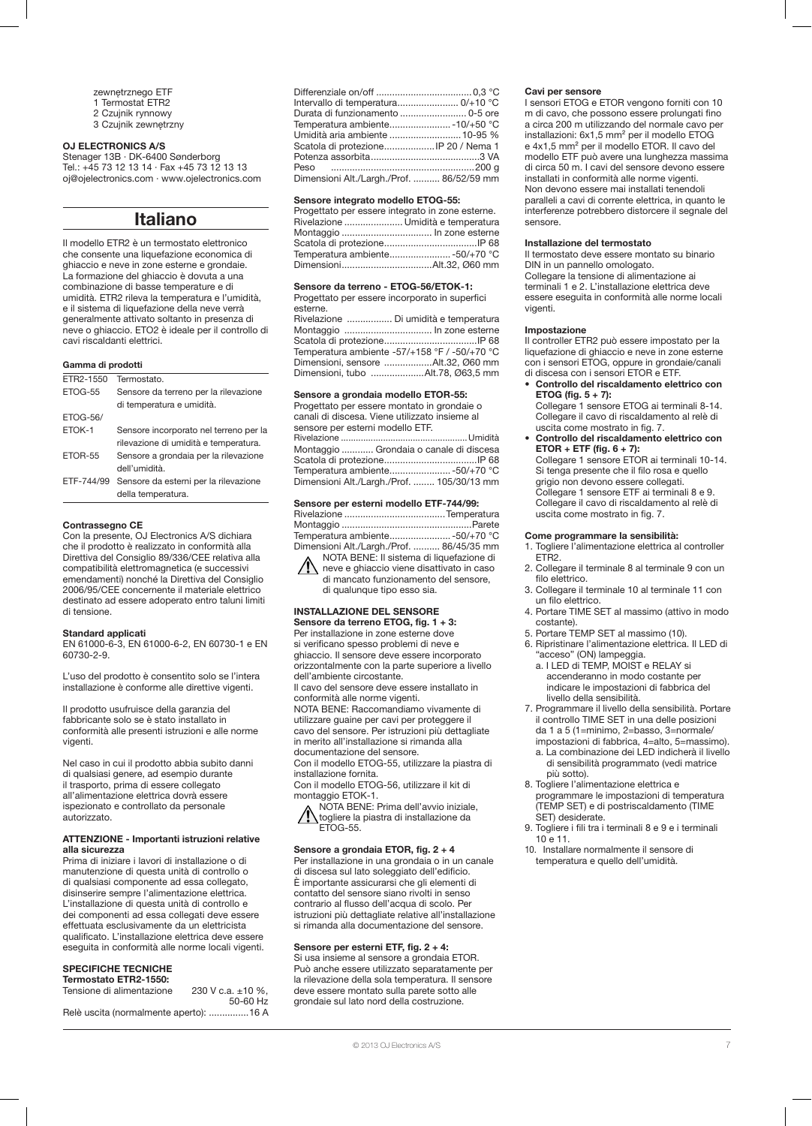- zewnętrznego ETF
- 1 Termostat ETR2
- 2 Czujnik rynnowy 3 Czujnik zewnętrzny
- OJ ELECTRONICS A/S

Stenager 13B · DK-6400 Sønderborg Tel.: +45 73 12 13 14 · Fax +45 73 12 13 13 oj@ojelectronics.com · www.ojelectronics.com

## Italiano

Il modello ETR2 è un termostato elettronico che consente una liquefazione economica di ghiaccio e neve in zone esterne e grondaie. La formazione del ghiaccio è dovuta a una combinazione di basse temperature e di umidità. ETR2 rileva la temperatura e l'umidità, e il sistema di liquefazione della neve verrà generalmente attivato soltanto in presenza di neve o ghiaccio. ETO2 è ideale per il controllo di cavi riscaldanti elettrici.

## Gamma di prodotti

| FTR2-1550       | Termostato.                            |  |
|-----------------|----------------------------------------|--|
| ETOG-55         | Sensore da terreno per la rilevazione  |  |
|                 | di temperatura e umidità.              |  |
| <b>ETOG-56/</b> |                                        |  |
| ETOK-1          | Sensore incorporato nel terreno per la |  |
|                 | rilevazione di umidità e temperatura.  |  |
| ETOR-55         | Sensore a grondaia per la rilevazione  |  |
|                 | dell'umidità                           |  |
| FTF-744/99      | Sensore da esterni per la rilevazione  |  |
|                 | della temperatura.                     |  |
|                 |                                        |  |

### Contrassegno CE

Con la presente, OJ Electronics A/S dichiara che il prodotto è realizzato in conformità alla Direttiva del Consiglio 89/336/CEE relativa alla compatibilità elettromagnetica (e successivi emendamenti) nonché la Direttiva del Consiglio 2006/95/CEE concernente il materiale elettrico destinato ad essere adoperato entro taluni limiti di tensione.

## Standard applicati

EN 61000-6-3, EN 61000-6-2, EN 60730-1 e EN 60730-2-9.

L'uso del prodotto è consentito solo se l'intera installazione è conforme alle direttive vigenti.

Il prodotto usufruisce della garanzia del fabbricante solo se è stato installato in conformità alle presenti istruzioni e alle norme vigenti.

Nel caso in cui il prodotto abbia subito danni di qualsiasi genere, ad esempio durante il trasporto, prima di essere collegato all'alimentazione elettrica dovrà essere ispezionato e controllato da personale autorizzato.

## ATTENZIONE - Importanti istruzioni relative alla sicurezza

Prima di iniziare i lavori di installazione o di manutenzione di questa unità di controllo o di qualsiasi componente ad essa collegato, disinserire sempre l'alimentazione elettrica. L'installazione di questa unità di controllo e dei componenti ad essa collegati deve essere effettuata esclusivamente da un elettricista qualificato. L'installazione elettrica deve essere eseguita in conformità alle norme locali vigenti.

## SPECIFICHE TECNICHE

| Termostato ETR2-1550:                  |                        |
|----------------------------------------|------------------------|
| Tensione di alimentazione              | 230 V c.a. $\pm$ 10 %. |
|                                        | 50-60 Hz               |
| Relè uscita (normalmente aperto): 16 A |                        |

| Umidità aria ambiente  10-95 %<br>Scatola di protezione IP 20 / Nema 1 |  |
|------------------------------------------------------------------------|--|
|                                                                        |  |
| Dimensioni Alt./Largh./Prof.  86/52/59 mm                              |  |

#### Sensore integrato modello ETOG-55:

| Progettato per essere integrato in zone esterne. |  |
|--------------------------------------------------|--|
| Rivelazione  Umidità e temperatura               |  |
|                                                  |  |
|                                                  |  |
| Temperatura ambiente50/+70 °C                    |  |
|                                                  |  |

## Sensore da terreno - ETOG-56/ETOK-1:

| Progettato per essere incorporato in superfici |                                               |
|------------------------------------------------|-----------------------------------------------|
| esterne.                                       |                                               |
|                                                | Rivelazione  Di umidità e temperatura         |
|                                                |                                               |
|                                                |                                               |
|                                                | Temperatura ambiente -57/+158 °F / -50/+70 °C |
|                                                | Dimensioni, sensore Alt.32, Ø60 mm            |
|                                                |                                               |

Dimensioni, tubo ....................Alt.78, Ø63,5 mm

#### Sensore a grondaia modello ETOR-55:

Progettato per essere montato in grondaie o canali di discesa. Viene utilizzato insieme al sensore per esterni modello ETF. Rivelazione ...................................................Umidità Montaggio ............ Grondaia o canale di discesa Scatola di protezione...................................IP 68 Temperatura ambiente.......................-50/+70 °C Dimensioni Alt./Largh./Prof. ........ 105/30/13 mm

## Sensore per esterni modello ETF-744/99:

Rivelazione ......................................Temperatura Montaggio .................................................Parete Temperatura ambiente.......................-50/+70 °C Dimensioni Alt./Largh./Prof. .......... 86/45/35 mm NOTA BENE: Il sistema di liquefazione di

neve e ghiaccio viene disattivato in caso di mancato funzionamento del sensore, di qualunque tipo esso sia.

#### INSTALLAZIONE DEL SENSORE Sensore da terreno ETOG, fig. 1 + 3:

Per installazione in zone esterne dove si verificano spesso problemi di neve e ghiaccio. Il sensore deve essere incorporato orizzontalmente con la parte superiore a livello dell'ambiente circostante. Il cavo del sensore deve essere installato in conformità alle norme vigenti.

NOTA BENE: Raccomandiamo vivamente di utilizzare guaine per cavi per proteggere il cavo del sensore. Per istruzioni più dettagliate in merito all'installazione si rimanda alla documentazione del sensore.

Con il modello ETOG-55, utilizzare la piastra di installazione fornita. Con il modello ETOG-56, utilizzare il kit di

montaggio ETOK-1.

NOTA BENE: Prima dell'avvio iniziale, togliere la piastra di installazione da ETOG-55.

### Sensore a grondaia ETOR, fig. 2 + 4 Per installazione in una grondaia o in un canale di discesa sul lato soleggiato dell'edificio.

È importante assicurarsi che gli elementi di contatto del sensore siano rivolti in senso contrario al flusso dell'acqua di scolo. Per istruzioni più dettagliate relative all'installazione si rimanda alla documentazione del sensore.

## Sensore per esterni ETF, fig. 2 + 4:

Si usa insieme al sensore a grondaia ETOR. Può anche essere utilizzato separatamente per la rilevazione della sola temperatura. Il sensore deve essere montato sulla parete sotto alle grondaie sul lato nord della costruzione.

#### Cavi per sensore

I sensori ETOG e ETOR vengono forniti con 10 m di cavo, che possono essere prolungati fino a circa 200 m utilizzando del normale cavo per installazioni: 6x1,5 mm² per il modello ETOG e 4x1,5 mm² per il modello ETOR. Il cavo del modello ETF può avere una lunghezza massima di circa 50 m. I cavi del sensore devono essere installati in conformità alle norme vigenti. Non devono essere mai installati tenendoli paralleli a cavi di corrente elettrica, in quanto le interferenze potrebbero distorcere il segnale del sensore.

#### Installazione del termostato

Il termostato deve essere montato su binario DIN in un pannello omologato.

Collegare la tensione di alimentazione ai terminali 1 e 2. L'installazione elettrica deve essere eseguita in conformità alle norme locali vigenti.

#### Impostazione

Il controller ETR2 può essere impostato per la liquefazione di ghiaccio e neve in zone esterne con i sensori ETOG, oppure in grondaie/canali di discesa con i sensori ETOR e ETF.

• Controllo del riscaldamento elettrico con ETOG (fig.  $5 + 7$ ): Collegare 1 sensore ETOG ai terminali 8-14.

Collegare il cavo di riscaldamento al relè di uscita come mostrato in fig. 7.

• Controllo del riscaldamento elettrico con ETOR + ETF (fig.  $6 + 7$ ): Collegare 1 sensore ETOR ai terminali 10-14. Si tenga presente che il filo rosa e quello grigio non devono essere collegati.

Collegare 1 sensore ETF ai terminali 8 e 9. Collegare il cavo di riscaldamento al relè di uscita come mostrato in fig. 7.

## Come programmare la sensibilità:

- 1. Togliere l'alimentazione elettrica al controller ETR2.
- 2. Collegare il terminale 8 al terminale 9 con un filo elettrico.
- 3. Collegare il terminale 10 al terminale 11 con un filo elettrico.
- 4. Portare TIME SET al massimo (attivo in modo costante).
- 5. Portare TEMP SET al massimo (10).
- 6. Ripristinare l'alimentazione elettrica. Il LED di "acceso" (ON) lampeggia.
	- a. I LED di TEMP, MOIST e RELAY si accenderanno in modo costante per indicare le impostazioni di fabbrica del livello della sensibilità.
- 7. Programmare il livello della sensibilità. Portare il controllo TIME SET in una delle posizioni da 1 a 5 (1=minimo, 2=basso, 3=normale/ impostazioni di fabbrica, 4=alto, 5=massimo).
	- a. La combinazione dei LED indicherà il livello di sensibilità programmato (vedi matrice più sotto).
- 8. Togliere l'alimentazione elettrica e programmare le impostazioni di temperatura (TEMP SET) e di postriscaldamento (TIME SET) desiderate.
- 9. Togliere i fili tra i terminali 8 e 9 e i terminali 10 e 11.
- 10. Installare normalmente il sensore di temperatura e quello dell'umidità.